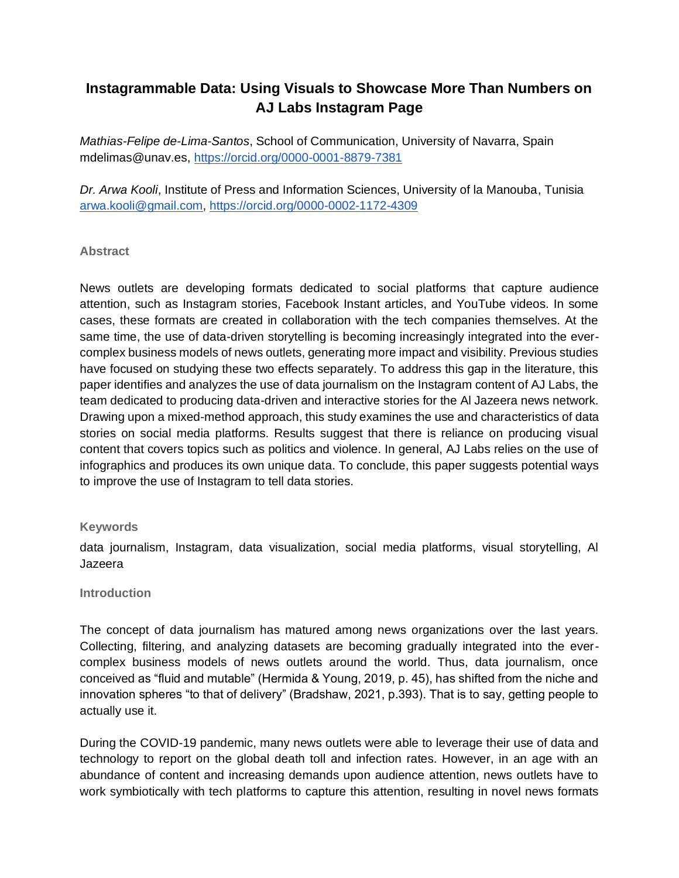# **Instagrammable Data: Using Visuals to Showcase More Than Numbers on AJ Labs Instagram Page**

*Mathias-Felipe de-Lima-Santos*, School of Communication, University of Navarra, Spain mdelimas@unav.es,<https://orcid.org/0000-0001-8879-7381>

*Dr. Arwa Kooli*, Institute of Press and Information Sciences, University of la Manouba, Tunisia [arwa.kooli@gmail.com,](mailto:arwa.kooli@gmail.com)<https://orcid.org/0000-0002-1172-4309>

# **Abstract**

News outlets are developing formats dedicated to social platforms that capture audience attention, such as Instagram stories, Facebook Instant articles, and YouTube videos. In some cases, these formats are created in collaboration with the tech companies themselves. At the same time, the use of data-driven storytelling is becoming increasingly integrated into the evercomplex business models of news outlets, generating more impact and visibility. Previous studies have focused on studying these two effects separately. To address this gap in the literature, this paper identifies and analyzes the use of data journalism on the Instagram content of AJ Labs, the team dedicated to producing data-driven and interactive stories for the Al Jazeera news network. Drawing upon a mixed-method approach, this study examines the use and characteristics of data stories on social media platforms. Results suggest that there is reliance on producing visual content that covers topics such as politics and violence. In general, AJ Labs relies on the use of infographics and produces its own unique data. To conclude, this paper suggests potential ways to improve the use of Instagram to tell data stories.

#### **Keywords**

data journalism, Instagram, data visualization, social media platforms, visual storytelling, Al Jazeera

#### **Introduction**

The concept of data journalism has matured among news organizations over the last years. Collecting, filtering, and analyzing datasets are becoming gradually integrated into the evercomplex business models of news outlets around the world. Thus, data journalism, once conceived as "fluid and mutable" (Hermida & Young, 2019, p. 45), has shifted from the niche and innovation spheres "to that of delivery" (Bradshaw, 2021, p.393). That is to say, getting people to actually use it.

During the COVID-19 pandemic, many news outlets were able to leverage their use of data and technology to report on the global death toll and infection rates. However, in an age with an abundance of content and increasing demands upon audience attention, news outlets have to work symbiotically with tech platforms to capture this attention, resulting in novel news formats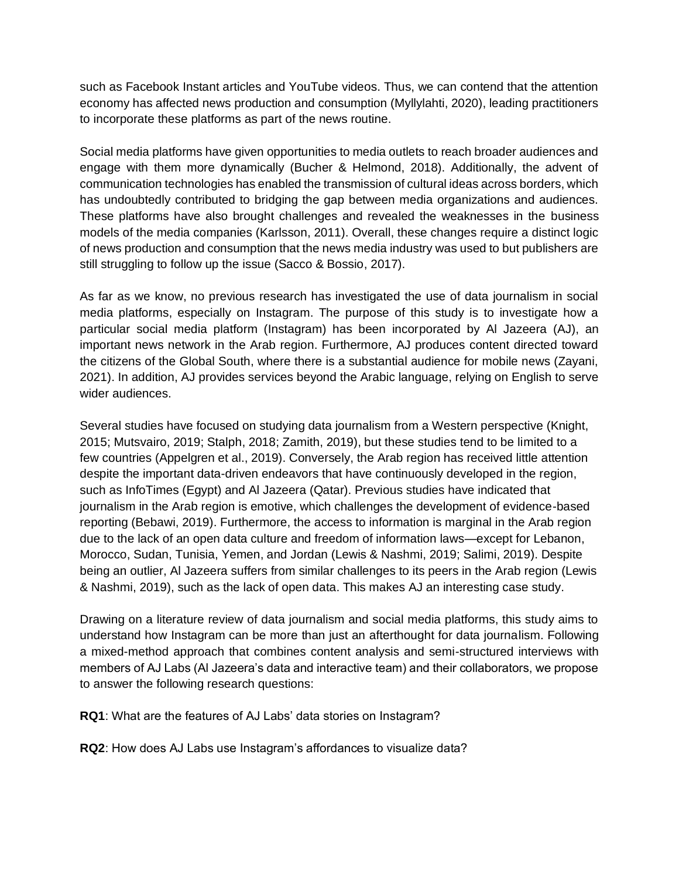such as Facebook Instant articles and YouTube videos. Thus, we can contend that the attention economy has affected news production and consumption (Myllylahti, 2020), leading practitioners to incorporate these platforms as part of the news routine.

Social media platforms have given opportunities to media outlets to reach broader audiences and engage with them more dynamically (Bucher & Helmond, 2018). Additionally, the advent of communication technologies has enabled the transmission of cultural ideas across borders, which has undoubtedly contributed to bridging the gap between media organizations and audiences. These platforms have also brought challenges and revealed the weaknesses in the business models of the media companies (Karlsson, 2011). Overall, these changes require a distinct logic of news production and consumption that the news media industry was used to but publishers are still struggling to follow up the issue (Sacco & Bossio, 2017).

As far as we know, no previous research has investigated the use of data journalism in social media platforms, especially on Instagram. The purpose of this study is to investigate how a particular social media platform (Instagram) has been incorporated by Al Jazeera (AJ), an important news network in the Arab region. Furthermore, AJ produces content directed toward the citizens of the Global South, where there is a substantial audience for mobile news (Zayani, 2021). In addition, AJ provides services beyond the Arabic language, relying on English to serve wider audiences.

Several studies have focused on studying data journalism from a Western perspective (Knight, 2015; Mutsvairo, 2019; Stalph, 2018; Zamith, 2019), but these studies tend to be limited to a few countries (Appelgren et al., 2019). Conversely, the Arab region has received little attention despite the important data-driven endeavors that have continuously developed in the region, such as InfoTimes (Egypt) and Al Jazeera (Qatar). Previous studies have indicated that journalism in the Arab region is emotive, which challenges the development of evidence-based reporting (Bebawi, 2019). Furthermore, the access to information is marginal in the Arab region due to the lack of an open data culture and freedom of information laws—except for Lebanon, Morocco, Sudan, Tunisia, Yemen, and Jordan (Lewis & Nashmi, 2019; Salimi, 2019). Despite being an outlier, Al Jazeera suffers from similar challenges to its peers in the Arab region (Lewis & Nashmi, 2019), such as the lack of open data. This makes AJ an interesting case study.

Drawing on a literature review of data journalism and social media platforms, this study aims to understand how Instagram can be more than just an afterthought for data journalism. Following a mixed-method approach that combines content analysis and semi-structured interviews with members of AJ Labs (Al Jazeera's data and interactive team) and their collaborators, we propose to answer the following research questions:

**RQ1**: What are the features of AJ Labs' data stories on Instagram?

**RQ2**: How does AJ Labs use Instagram's affordances to visualize data?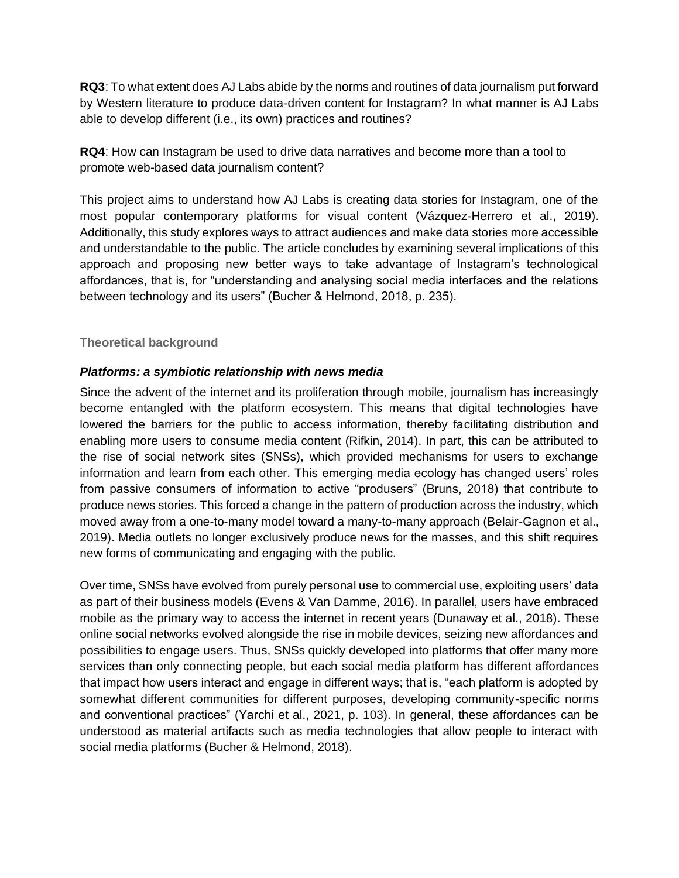**RQ3**: To what extent does AJ Labs abide by the norms and routines of data journalism put forward by Western literature to produce data-driven content for Instagram? In what manner is AJ Labs able to develop different (i.e., its own) practices and routines?

**RQ4**: How can Instagram be used to drive data narratives and become more than a tool to promote web-based data journalism content?

This project aims to understand how AJ Labs is creating data stories for Instagram, one of the most popular contemporary platforms for visual content (Vázquez-Herrero et al., 2019). Additionally, this study explores ways to attract audiences and make data stories more accessible and understandable to the public. The article concludes by examining several implications of this approach and proposing new better ways to take advantage of Instagram's technological affordances, that is, for "understanding and analysing social media interfaces and the relations between technology and its users" (Bucher & Helmond, 2018, p. 235).

# **Theoretical background**

#### *Platforms: a symbiotic relationship with news media*

Since the advent of the internet and its proliferation through mobile, journalism has increasingly become entangled with the platform ecosystem. This means that digital technologies have lowered the barriers for the public to access information, thereby facilitating distribution and enabling more users to consume media content (Rifkin, 2014). In part, this can be attributed to the rise of social network sites (SNSs), which provided mechanisms for users to exchange information and learn from each other. This emerging media ecology has changed users' roles from passive consumers of information to active "produsers" (Bruns, 2018) that contribute to produce news stories. This forced a change in the pattern of production across the industry, which moved away from a one-to-many model toward a many-to-many approach (Belair-Gagnon et al., 2019). Media outlets no longer exclusively produce news for the masses, and this shift requires new forms of communicating and engaging with the public.

Over time, SNSs have evolved from purely personal use to commercial use, exploiting users' data as part of their business models (Evens & Van Damme, 2016). In parallel, users have embraced mobile as the primary way to access the internet in recent years (Dunaway et al., 2018). These online social networks evolved alongside the rise in mobile devices, seizing new affordances and possibilities to engage users. Thus, SNSs quickly developed into platforms that offer many more services than only connecting people, but each social media platform has different affordances that impact how users interact and engage in different ways; that is, "each platform is adopted by somewhat different communities for different purposes, developing community-specific norms and conventional practices" (Yarchi et al., 2021, p. 103). In general, these affordances can be understood as material artifacts such as media technologies that allow people to interact with social media platforms (Bucher & Helmond, 2018).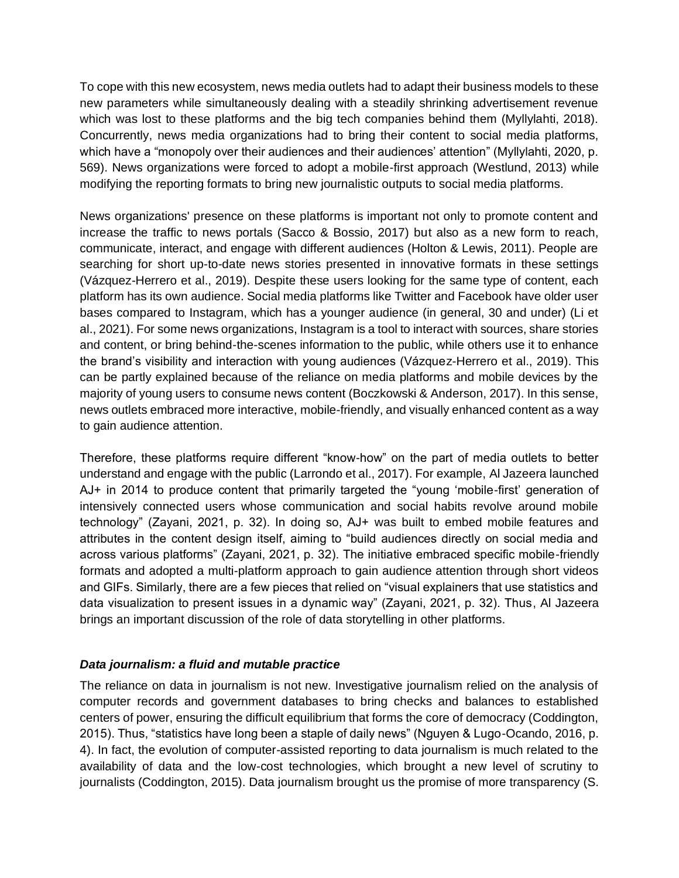To cope with this new ecosystem, news media outlets had to adapt their business models to these new parameters while simultaneously dealing with a steadily shrinking advertisement revenue which was lost to these platforms and the big tech companies behind them (Myllylahti, 2018). Concurrently, news media organizations had to bring their content to social media platforms, which have a "monopoly over their audiences and their audiences' attention" (Myllylahti, 2020, p. 569). News organizations were forced to adopt a mobile-first approach (Westlund, 2013) while modifying the reporting formats to bring new journalistic outputs to social media platforms.

News organizations' presence on these platforms is important not only to promote content and increase the traffic to news portals (Sacco & Bossio, 2017) but also as a new form to reach, communicate, interact, and engage with different audiences (Holton & Lewis, 2011). People are searching for short up-to-date news stories presented in innovative formats in these settings (Vázquez-Herrero et al., 2019). Despite these users looking for the same type of content, each platform has its own audience. Social media platforms like Twitter and Facebook have older user bases compared to Instagram, which has a younger audience (in general, 30 and under) (Li et al., 2021). For some news organizations, Instagram is a tool to interact with sources, share stories and content, or bring behind-the-scenes information to the public, while others use it to enhance the brand's visibility and interaction with young audiences (Vázquez-Herrero et al., 2019). This can be partly explained because of the reliance on media platforms and mobile devices by the majority of young users to consume news content (Boczkowski & Anderson, 2017). In this sense, news outlets embraced more interactive, mobile-friendly, and visually enhanced content as a way to gain audience attention.

Therefore, these platforms require different "know-how" on the part of media outlets to better understand and engage with the public (Larrondo et al., 2017). For example, Al Jazeera launched AJ+ in 2014 to produce content that primarily targeted the "young 'mobile-first' generation of intensively connected users whose communication and social habits revolve around mobile technology" (Zayani, 2021, p. 32). In doing so, AJ+ was built to embed mobile features and attributes in the content design itself, aiming to "build audiences directly on social media and across various platforms" (Zayani, 2021, p. 32). The initiative embraced specific mobile-friendly formats and adopted a multi-platform approach to gain audience attention through short videos and GIFs. Similarly, there are a few pieces that relied on "visual explainers that use statistics and data visualization to present issues in a dynamic way" (Zayani, 2021, p. 32). Thus, Al Jazeera brings an important discussion of the role of data storytelling in other platforms.

#### *Data journalism: a fluid and mutable practice*

The reliance on data in journalism is not new. Investigative journalism relied on the analysis of computer records and government databases to bring checks and balances to established centers of power, ensuring the difficult equilibrium that forms the core of democracy (Coddington, 2015). Thus, "statistics have long been a staple of daily news" (Nguyen & Lugo-Ocando, 2016, p. 4). In fact, the evolution of computer-assisted reporting to data journalism is much related to the availability of data and the low-cost technologies, which brought a new level of scrutiny to journalists (Coddington, 2015). Data journalism brought us the promise of more transparency (S.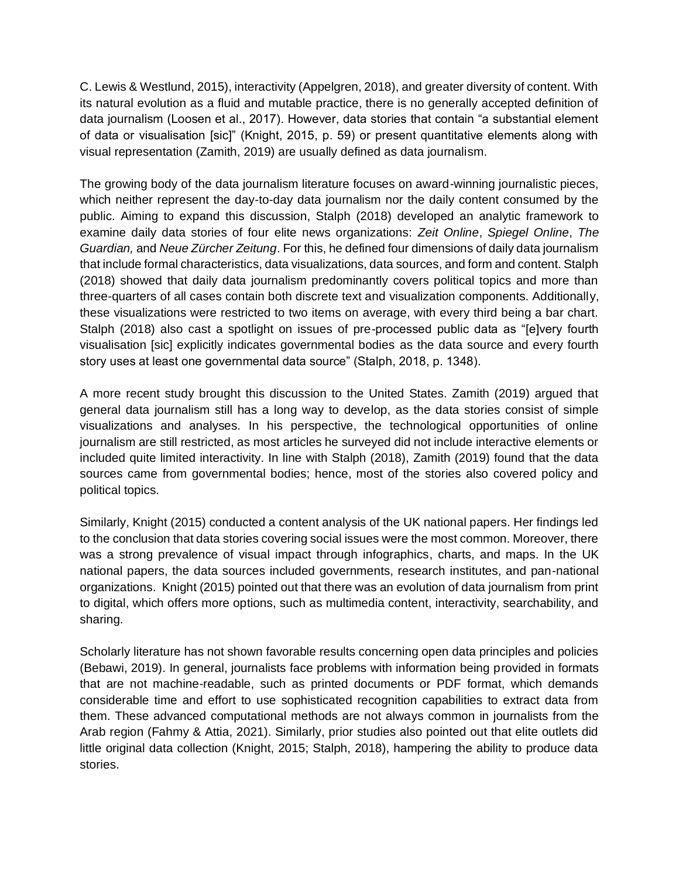C. Lewis & Westlund, 2015), interactivity (Appelgren, 2018), and greater diversity of content. With its natural evolution as a fluid and mutable practice, there is no generally accepted definition of data journalism (Loosen et al., 2017). However, data stories that contain "a substantial element of data or visualisation [sic]" (Knight, 2015, p. 59) or present quantitative elements along with visual representation (Zamith, 2019) are usually defined as data journalism.

The growing body of the data journalism literature focuses on award-winning journalistic pieces, which neither represent the day-to-day data journalism nor the daily content consumed by the public. Aiming to expand this discussion, Stalph (2018) developed an analytic framework to examine daily data stories of four elite news organizations: *Zeit Online*, *Spiegel Online*, *The Guardian,* and *Neue Zürcher Zeitung*. For this, he defined four dimensions of daily data journalism that include formal characteristics, data visualizations, data sources, and form and content. Stalph (2018) showed that daily data journalism predominantly covers political topics and more than three-quarters of all cases contain both discrete text and visualization components. Additionally, these visualizations were restricted to two items on average, with every third being a bar chart. Stalph (2018) also cast a spotlight on issues of pre-processed public data as "[e]very fourth visualisation [sic] explicitly indicates governmental bodies as the data source and every fourth story uses at least one governmental data source" (Stalph, 2018, p. 1348).

A more recent study brought this discussion to the United States. Zamith (2019) argued that general data journalism still has a long way to develop, as the data stories consist of simple visualizations and analyses. In his perspective, the technological opportunities of online journalism are still restricted, as most articles he surveyed did not include interactive elements or included quite limited interactivity. In line with Stalph (2018), Zamith (2019) found that the data sources came from governmental bodies; hence, most of the stories also covered policy and political topics.

Similarly, Knight (2015) conducted a content analysis of the UK national papers. Her findings led to the conclusion that data stories covering social issues were the most common. Moreover, there was a strong prevalence of visual impact through infographics, charts, and maps. In the UK national papers, the data sources included governments, research institutes, and pan-national organizations. Knight (2015) pointed out that there was an evolution of data journalism from print to digital, which offers more options, such as multimedia content, interactivity, searchability, and sharing.

Scholarly literature has not shown favorable results concerning open data principles and policies (Bebawi, 2019). In general, journalists face problems with information being provided in formats that are not machine-readable, such as printed documents or PDF format, which demands considerable time and effort to use sophisticated recognition capabilities to extract data from them. These advanced computational methods are not always common in journalists from the Arab region (Fahmy & Attia, 2021). Similarly, prior studies also pointed out that elite outlets did little original data collection (Knight, 2015; Stalph, 2018), hampering the ability to produce data stories.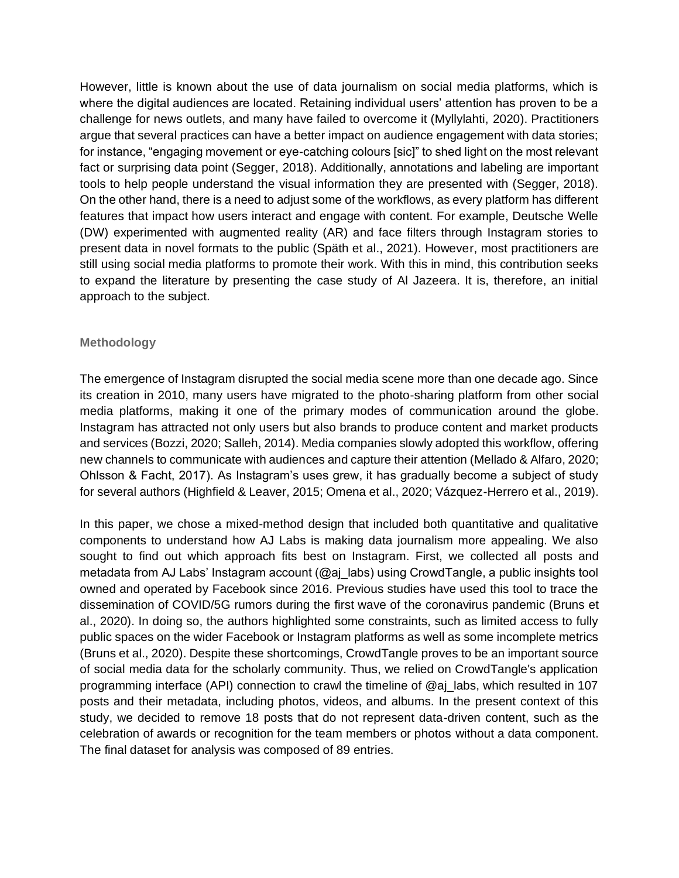However, little is known about the use of data journalism on social media platforms, which is where the digital audiences are located. Retaining individual users' attention has proven to be a challenge for news outlets, and many have failed to overcome it (Myllylahti, 2020). Practitioners argue that several practices can have a better impact on audience engagement with data stories; for instance, "engaging movement or eye-catching colours [sic]" to shed light on the most relevant fact or surprising data point (Segger, 2018). Additionally, annotations and labeling are important tools to help people understand the visual information they are presented with (Segger, 2018). On the other hand, there is a need to adjust some of the workflows, as every platform has different features that impact how users interact and engage with content. For example, Deutsche Welle (DW) experimented with augmented reality (AR) and face filters through Instagram stories to present data in novel formats to the public (Späth et al., 2021). However, most practitioners are still using social media platforms to promote their work. With this in mind, this contribution seeks to expand the literature by presenting the case study of Al Jazeera. It is, therefore, an initial approach to the subject.

# **Methodology**

The emergence of Instagram disrupted the social media scene more than one decade ago. Since its creation in 2010, many users have migrated to the photo-sharing platform from other social media platforms, making it one of the primary modes of communication around the globe. Instagram has attracted not only users but also brands to produce content and market products and services (Bozzi, 2020; Salleh, 2014). Media companies slowly adopted this workflow, offering new channels to communicate with audiences and capture their attention (Mellado & Alfaro, 2020; Ohlsson & Facht, 2017). As Instagram's uses grew, it has gradually become a subject of study for several authors (Highfield & Leaver, 2015; Omena et al., 2020; Vázquez-Herrero et al., 2019).

In this paper, we chose a mixed-method design that included both quantitative and qualitative components to understand how AJ Labs is making data journalism more appealing. We also sought to find out which approach fits best on Instagram. First, we collected all posts and metadata from AJ Labs' Instagram account  $(Qa)$  labs) using CrowdTangle, a public insights tool owned and operated by Facebook since 2016. Previous studies have used this tool to trace the dissemination of COVID/5G rumors during the first wave of the coronavirus pandemic (Bruns et al., 2020). In doing so, the authors highlighted some constraints, such as limited access to fully public spaces on the wider Facebook or Instagram platforms as well as some incomplete metrics (Bruns et al., 2020). Despite these shortcomings, CrowdTangle proves to be an important source of social media data for the scholarly community. Thus, we relied on CrowdTangle's application programming interface (API) connection to crawl the timeline of @aj\_labs, which resulted in 107 posts and their metadata, including photos, videos, and albums. In the present context of this study, we decided to remove 18 posts that do not represent data-driven content, such as the celebration of awards or recognition for the team members or photos without a data component. The final dataset for analysis was composed of 89 entries.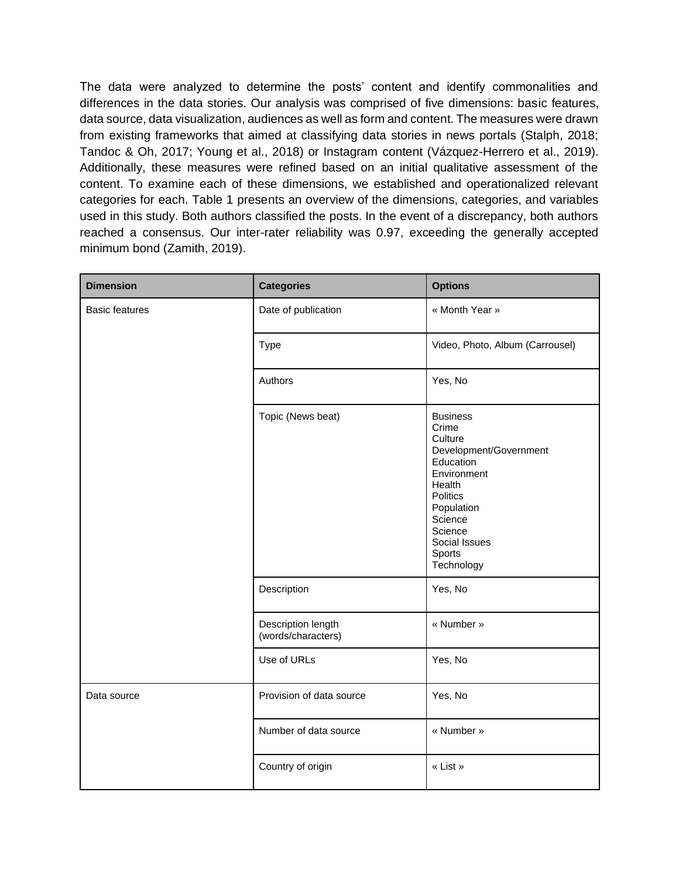The data were analyzed to determine the posts' content and identify commonalities and differences in the data stories. Our analysis was comprised of five dimensions: basic features, data source, data visualization, audiences as well as form and content. The measures were drawn from existing frameworks that aimed at classifying data stories in news portals (Stalph, 2018; Tandoc & Oh, 2017; Young et al., 2018) or Instagram content (Vázquez-Herrero et al., 2019). Additionally, these measures were refined based on an initial qualitative assessment of the content. To examine each of these dimensions, we established and operationalized relevant categories for each. Table 1 presents an overview of the dimensions, categories, and variables used in this study. Both authors classified the posts. In the event of a discrepancy, both authors reached a consensus. Our inter-rater reliability was 0.97, exceeding the generally accepted minimum bond (Zamith, 2019).

| <b>Dimension</b>      | <b>Categories</b>                        | <b>Options</b>                                                                                                                                                                               |
|-----------------------|------------------------------------------|----------------------------------------------------------------------------------------------------------------------------------------------------------------------------------------------|
| <b>Basic features</b> | Date of publication                      | « Month Year »                                                                                                                                                                               |
|                       | <b>Type</b>                              | Video, Photo, Album (Carrousel)                                                                                                                                                              |
|                       | Authors                                  | Yes, No                                                                                                                                                                                      |
|                       | Topic (News beat)                        | <b>Business</b><br>Crime<br>Culture<br>Development/Government<br>Education<br>Environment<br>Health<br>Politics<br>Population<br>Science<br>Science<br>Social Issues<br>Sports<br>Technology |
|                       | Description                              | Yes, No                                                                                                                                                                                      |
|                       | Description length<br>(words/characters) | « Number »                                                                                                                                                                                   |
|                       | Use of URLs                              | Yes, No                                                                                                                                                                                      |
| Data source           | Provision of data source                 | Yes, No                                                                                                                                                                                      |
|                       | Number of data source                    | « Number »                                                                                                                                                                                   |
|                       | Country of origin                        | « List »                                                                                                                                                                                     |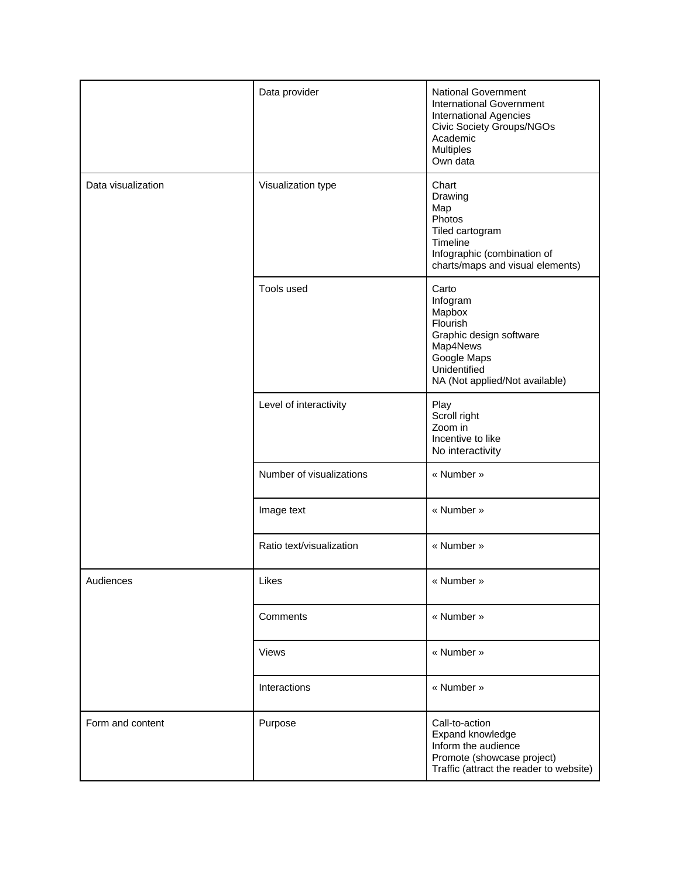|                    | Data provider            | <b>National Government</b><br><b>International Government</b><br><b>International Agencies</b><br><b>Civic Society Groups/NGOs</b><br>Academic<br><b>Multiples</b><br>Own data |
|--------------------|--------------------------|--------------------------------------------------------------------------------------------------------------------------------------------------------------------------------|
| Data visualization | Visualization type       | Chart<br>Drawing<br>Map<br>Photos<br>Tiled cartogram<br>Timeline<br>Infographic (combination of<br>charts/maps and visual elements)                                            |
|                    | Tools used               | Carto<br>Infogram<br>Mapbox<br>Flourish<br>Graphic design software<br>Map4News<br>Google Maps<br>Unidentified<br>NA (Not applied/Not available)                                |
|                    | Level of interactivity   | Play<br>Scroll right<br>Zoom in<br>Incentive to like<br>No interactivity                                                                                                       |
|                    | Number of visualizations | « Number »                                                                                                                                                                     |
|                    | Image text               | « Number »                                                                                                                                                                     |
|                    | Ratio text/visualization | « Number »                                                                                                                                                                     |
| Audiences          | Likes                    | « Number »                                                                                                                                                                     |
|                    | Comments                 | « Number »                                                                                                                                                                     |
|                    | Views                    | « Number »                                                                                                                                                                     |
|                    | Interactions             | « Number »                                                                                                                                                                     |
| Form and content   | Purpose                  | Call-to-action<br>Expand knowledge<br>Inform the audience<br>Promote (showcase project)<br>Traffic (attract the reader to website)                                             |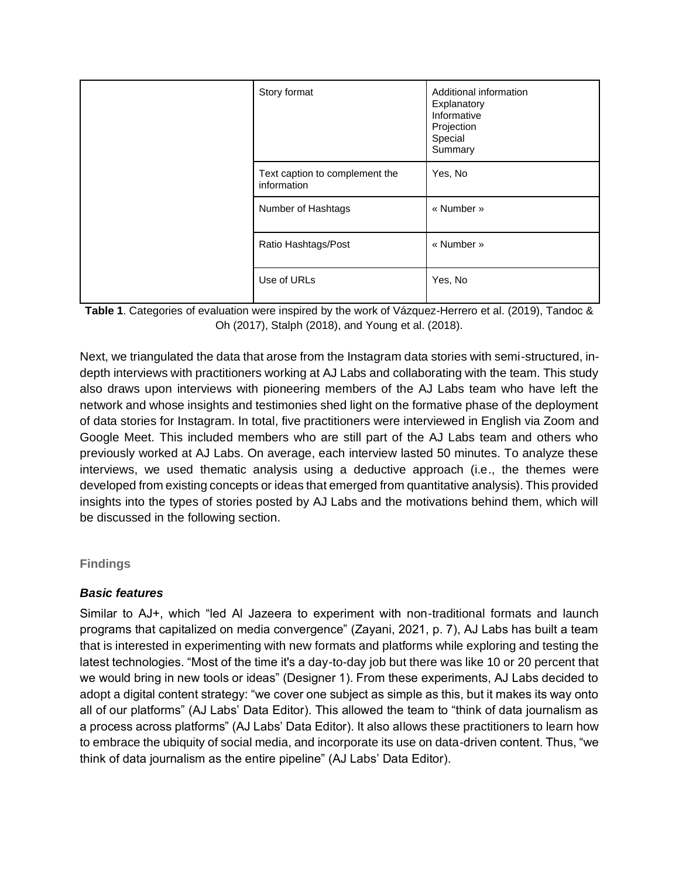| Story format                                  | Additional information<br>Explanatory<br>Informative<br>Projection<br>Special<br>Summary |
|-----------------------------------------------|------------------------------------------------------------------------------------------|
| Text caption to complement the<br>information | Yes, No                                                                                  |
| Number of Hashtags                            | « Number »                                                                               |
| Ratio Hashtags/Post                           | « Number »                                                                               |
| Use of URLs                                   | Yes, No                                                                                  |



Next, we triangulated the data that arose from the Instagram data stories with semi-structured, indepth interviews with practitioners working at AJ Labs and collaborating with the team. This study also draws upon interviews with pioneering members of the AJ Labs team who have left the network and whose insights and testimonies shed light on the formative phase of the deployment of data stories for Instagram. In total, five practitioners were interviewed in English via Zoom and Google Meet. This included members who are still part of the AJ Labs team and others who previously worked at AJ Labs. On average, each interview lasted 50 minutes. To analyze these interviews, we used thematic analysis using a deductive approach (i.e., the themes were developed from existing concepts or ideas that emerged from quantitative analysis). This provided insights into the types of stories posted by AJ Labs and the motivations behind them, which will be discussed in the following section.

#### **Findings**

#### *Basic features*

Similar to AJ+, which "led Al Jazeera to experiment with non-traditional formats and launch programs that capitalized on media convergence" (Zayani, 2021, p. 7), AJ Labs has built a team that is interested in experimenting with new formats and platforms while exploring and testing the latest technologies. "Most of the time it's a day-to-day job but there was like 10 or 20 percent that we would bring in new tools or ideas" (Designer 1). From these experiments, AJ Labs decided to adopt a digital content strategy: "we cover one subject as simple as this, but it makes its way onto all of our platforms" (AJ Labs' Data Editor). This allowed the team to "think of data journalism as a process across platforms" (AJ Labs' Data Editor). It also allows these practitioners to learn how to embrace the ubiquity of social media, and incorporate its use on data-driven content. Thus, "we think of data journalism as the entire pipeline" (AJ Labs' Data Editor).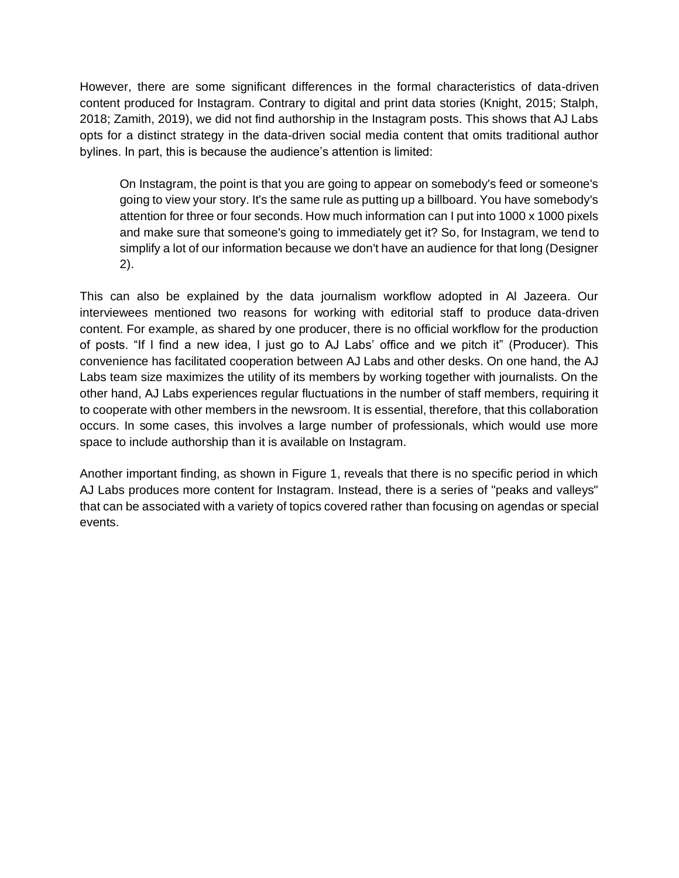However, there are some significant differences in the formal characteristics of data-driven content produced for Instagram. Contrary to digital and print data stories (Knight, 2015; Stalph, 2018; Zamith, 2019), we did not find authorship in the Instagram posts. This shows that AJ Labs opts for a distinct strategy in the data-driven social media content that omits traditional author bylines. In part, this is because the audience's attention is limited:

On Instagram, the point is that you are going to appear on somebody's feed or someone's going to view your story. It's the same rule as putting up a billboard. You have somebody's attention for three or four seconds. How much information can I put into 1000 x 1000 pixels and make sure that someone's going to immediately get it? So, for Instagram, we tend to simplify a lot of our information because we don't have an audience for that long (Designer 2).

This can also be explained by the data journalism workflow adopted in Al Jazeera. Our interviewees mentioned two reasons for working with editorial staff to produce data-driven content. For example, as shared by one producer, there is no official workflow for the production of posts. "If I find a new idea, I just go to AJ Labs' office and we pitch it" (Producer). This convenience has facilitated cooperation between AJ Labs and other desks. On one hand, the AJ Labs team size maximizes the utility of its members by working together with journalists. On the other hand, AJ Labs experiences regular fluctuations in the number of staff members, requiring it to cooperate with other members in the newsroom. It is essential, therefore, that this collaboration occurs. In some cases, this involves a large number of professionals, which would use more space to include authorship than it is available on Instagram.

Another important finding, as shown in Figure 1, reveals that there is no specific period in which AJ Labs produces more content for Instagram. Instead, there is a series of "peaks and valleys" that can be associated with a variety of topics covered rather than focusing on agendas or special events.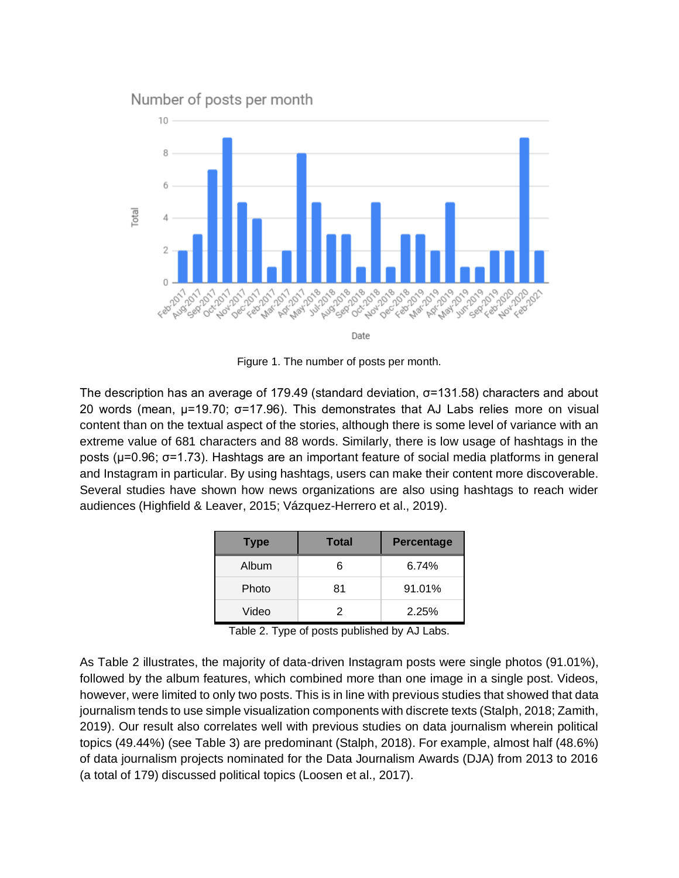

Figure 1. The number of posts per month.

The description has an average of 179.49 (standard deviation, σ=131.58) characters and about 20 words (mean, μ=19.70; σ=17.96). This demonstrates that AJ Labs relies more on visual content than on the textual aspect of the stories, although there is some level of variance with an extreme value of 681 characters and 88 words. Similarly, there is low usage of hashtags in the posts (μ=0.96; σ=1.73). Hashtags are an important feature of social media platforms in general and Instagram in particular. By using hashtags, users can make their content more discoverable. Several studies have shown how news organizations are also using hashtags to reach wider audiences (Highfield & Leaver, 2015; Vázquez-Herrero et al., 2019).

| <b>Type</b> | Total | <b>Percentage</b> |
|-------------|-------|-------------------|
| Album       | 6     | 6.74%             |
| Photo       | 81    | 91.01%            |
| Video       | 2     | 2.25%             |

Table 2. Type of posts published by AJ Labs.

As Table 2 illustrates, the majority of data-driven Instagram posts were single photos (91.01%), followed by the album features, which combined more than one image in a single post. Videos, however, were limited to only two posts. This is in line with previous studies that showed that data journalism tends to use simple visualization components with discrete texts (Stalph, 2018; Zamith, 2019). Our result also correlates well with previous studies on data journalism wherein political topics (49.44%) (see Table 3) are predominant (Stalph, 2018). For example, almost half (48.6%) of data journalism projects nominated for the Data Journalism Awards (DJA) from 2013 to 2016 (a total of 179) discussed political topics (Loosen et al., 2017).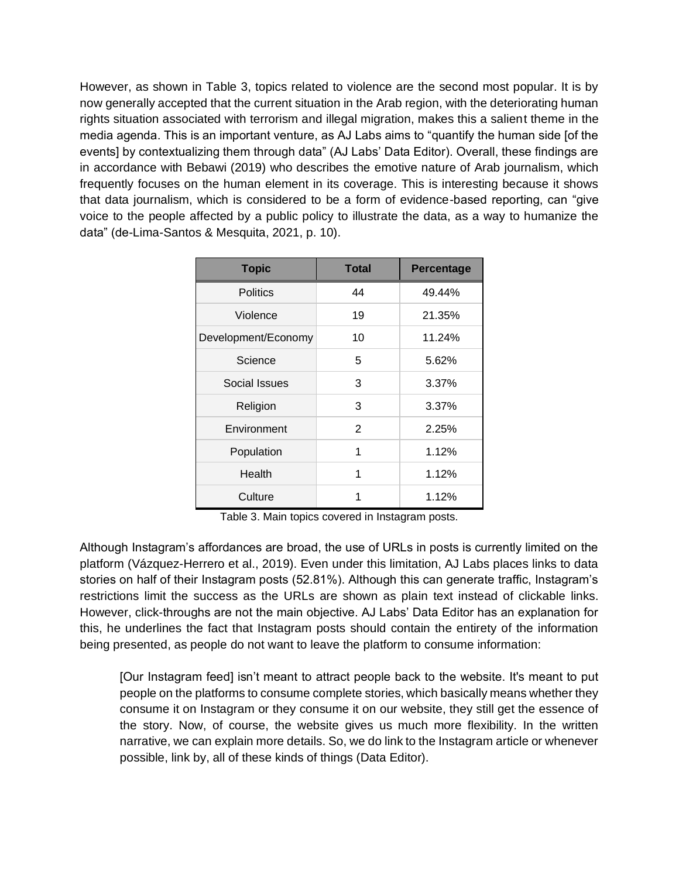However, as shown in Table 3, topics related to violence are the second most popular. It is by now generally accepted that the current situation in the Arab region, with the deteriorating human rights situation associated with terrorism and illegal migration, makes this a salient theme in the media agenda. This is an important venture, as AJ Labs aims to "quantify the human side [of the events] by contextualizing them through data" (AJ Labs' Data Editor). Overall, these findings are in accordance with Bebawi (2019) who describes the emotive nature of Arab journalism, which frequently focuses on the human element in its coverage. This is interesting because it shows that data journalism, which is considered to be a form of evidence-based reporting, can "give voice to the people affected by a public policy to illustrate the data, as a way to humanize the data" (de-Lima-Santos & Mesquita, 2021, p. 10).

| <b>Topic</b>        | <b>Total</b> | Percentage |
|---------------------|--------------|------------|
| <b>Politics</b>     | 44           | 49.44%     |
| Violence            | 19           | 21.35%     |
| Development/Economy | 10           | 11.24%     |
| Science             | 5            | 5.62%      |
| Social Issues       | 3            | 3.37%      |
| Religion            | 3            | 3.37%      |
| Environment         | 2            | 2.25%      |
| Population          | 1            | 1.12%      |
| Health              | 1            | 1.12%      |
| Culture             | 1            | 1.12%      |

Table 3. Main topics covered in Instagram posts.

Although Instagram's affordances are broad, the use of URLs in posts is currently limited on the platform (Vázquez-Herrero et al., 2019). Even under this limitation, AJ Labs places links to data stories on half of their Instagram posts (52.81%). Although this can generate traffic, Instagram's restrictions limit the success as the URLs are shown as plain text instead of clickable links. However, click-throughs are not the main objective. AJ Labs' Data Editor has an explanation for this, he underlines the fact that Instagram posts should contain the entirety of the information being presented, as people do not want to leave the platform to consume information:

[Our Instagram feed] isn't meant to attract people back to the website. It's meant to put people on the platforms to consume complete stories, which basically means whether they consume it on Instagram or they consume it on our website, they still get the essence of the story. Now, of course, the website gives us much more flexibility. In the written narrative, we can explain more details. So, we do link to the Instagram article or whenever possible, link by, all of these kinds of things (Data Editor).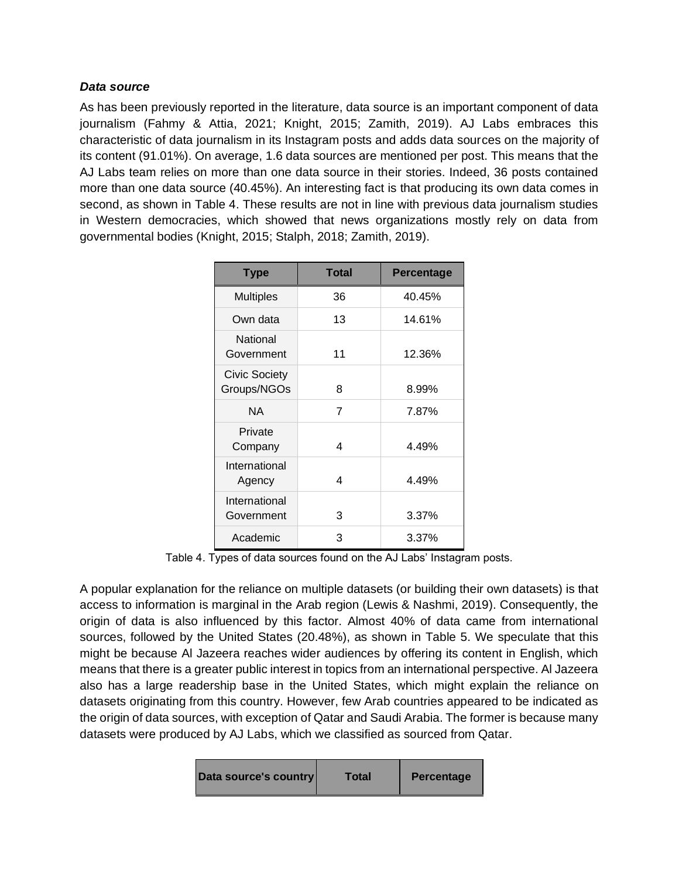# *Data source*

As has been previously reported in the literature, data source is an important component of data journalism (Fahmy & Attia, 2021; Knight, 2015; Zamith, 2019). AJ Labs embraces this characteristic of data journalism in its Instagram posts and adds data sources on the majority of its content (91.01%). On average, 1.6 data sources are mentioned per post. This means that the AJ Labs team relies on more than one data source in their stories. Indeed, 36 posts contained more than one data source (40.45%). An interesting fact is that producing its own data comes in second, as shown in Table 4. These results are not in line with previous data journalism studies in Western democracies, which showed that news organizations mostly rely on data from governmental bodies (Knight, 2015; Stalph, 2018; Zamith, 2019).

| <b>Type</b>                         | <b>Total</b> | <b>Percentage</b> |
|-------------------------------------|--------------|-------------------|
| <b>Multiples</b>                    | 36           | 40.45%            |
| Own data                            | 13           | 14.61%            |
| National<br>Government              | 11           | 12.36%            |
| <b>Civic Society</b><br>Groups/NGOs | 8            | 8.99%             |
| <b>NA</b>                           | 7            | 7.87%             |
| Private<br>Company                  | 4            | 4.49%             |
| International<br>Agency             | 4            | 4.49%             |
| International<br>Government         | 3            | 3.37%             |
| Academic                            | 3            | 3.37%             |

Table 4. Types of data sources found on the AJ Labs' Instagram posts.

A popular explanation for the reliance on multiple datasets (or building their own datasets) is that access to information is marginal in the Arab region (Lewis & Nashmi, 2019). Consequently, the origin of data is also influenced by this factor. Almost 40% of data came from international sources, followed by the United States (20.48%), as shown in Table 5. We speculate that this might be because Al Jazeera reaches wider audiences by offering its content in English, which means that there is a greater public interest in topics from an international perspective. Al Jazeera also has a large readership base in the United States, which might explain the reliance on datasets originating from this country. However, few Arab countries appeared to be indicated as the origin of data sources, with exception of Qatar and Saudi Arabia. The former is because many datasets were produced by AJ Labs, which we classified as sourced from Qatar.

| Data source's country | Total | Percentage |
|-----------------------|-------|------------|
|-----------------------|-------|------------|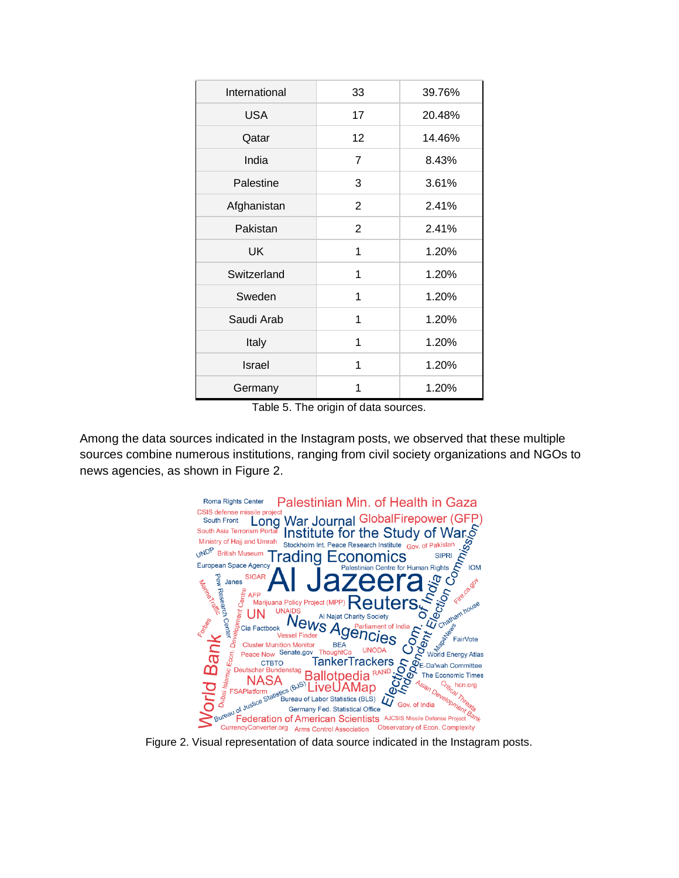| International | 33 | 39.76% |
|---------------|----|--------|
| <b>USA</b>    | 17 | 20.48% |
| Qatar         | 12 | 14.46% |
| India         | 7  | 8.43%  |
| Palestine     | 3  | 3.61%  |
| Afghanistan   | 2  | 2.41%  |
| Pakistan      | 2  | 2.41%  |
| <b>UK</b>     | 1  | 1.20%  |
| Switzerland   | 1  | 1.20%  |
| Sweden        | 1  | 1.20%  |
| Saudi Arab    | 1  | 1.20%  |
| Italy         | 1  | 1.20%  |
| Israel        | 1  | 1.20%  |
| Germany       | 1  | 1.20%  |

Table 5. The origin of data sources.

Among the data sources indicated in the Instagram posts, we observed that these multiple sources combine numerous institutions, ranging from civil society organizations and NGOs to news agencies, as shown in Figure 2.



Figure 2. Visual representation of data source indicated in the Instagram posts.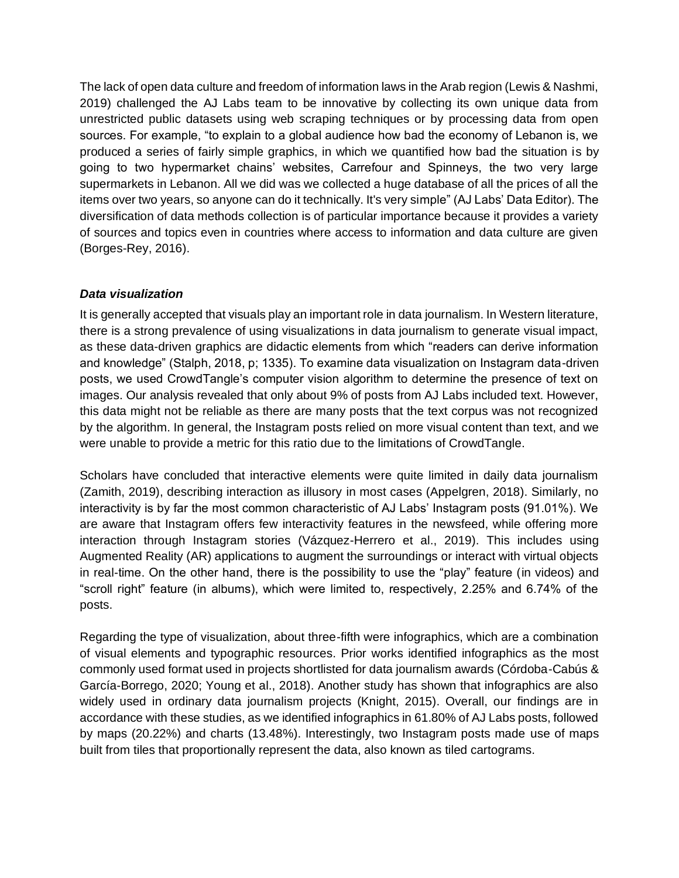The lack of open data culture and freedom of information laws in the Arab region (Lewis & Nashmi, 2019) challenged the AJ Labs team to be innovative by collecting its own unique data from unrestricted public datasets using web scraping techniques or by processing data from open sources. For example, "to explain to a global audience how bad the economy of Lebanon is, we produced a series of fairly simple graphics, in which we quantified how bad the situation is by going to two hypermarket chains' websites, Carrefour and Spinneys, the two very large supermarkets in Lebanon. All we did was we collected a huge database of all the prices of all the items over two years, so anyone can do it technically. It's very simple" (AJ Labs' Data Editor). The diversification of data methods collection is of particular importance because it provides a variety of sources and topics even in countries where access to information and data culture are given (Borges-Rey, 2016).

# *Data visualization*

It is generally accepted that visuals play an important role in data journalism. In Western literature, there is a strong prevalence of using visualizations in data journalism to generate visual impact, as these data-driven graphics are didactic elements from which "readers can derive information and knowledge" (Stalph, 2018, p; 1335). To examine data visualization on Instagram data-driven posts, we used CrowdTangle's computer vision algorithm to determine the presence of text on images. Our analysis revealed that only about 9% of posts from AJ Labs included text. However, this data might not be reliable as there are many posts that the text corpus was not recognized by the algorithm. In general, the Instagram posts relied on more visual content than text, and we were unable to provide a metric for this ratio due to the limitations of CrowdTangle.

Scholars have concluded that interactive elements were quite limited in daily data journalism (Zamith, 2019), describing interaction as illusory in most cases (Appelgren, 2018). Similarly, no interactivity is by far the most common characteristic of AJ Labs' Instagram posts (91.01%). We are aware that Instagram offers few interactivity features in the newsfeed, while offering more interaction through Instagram stories (Vázquez-Herrero et al., 2019). This includes using Augmented Reality (AR) applications to augment the surroundings or interact with virtual objects in real-time. On the other hand, there is the possibility to use the "play" feature (in videos) and "scroll right" feature (in albums), which were limited to, respectively, 2.25% and 6.74% of the posts.

Regarding the type of visualization, about three-fifth were infographics, which are a combination of visual elements and typographic resources. Prior works identified infographics as the most commonly used format used in projects shortlisted for data journalism awards (Córdoba-Cabús & García-Borrego, 2020; Young et al., 2018). Another study has shown that infographics are also widely used in ordinary data journalism projects (Knight, 2015). Overall, our findings are in accordance with these studies, as we identified infographics in 61.80% of AJ Labs posts, followed by maps (20.22%) and charts (13.48%). Interestingly, two Instagram posts made use of maps built from tiles that proportionally represent the data, also known as tiled cartograms.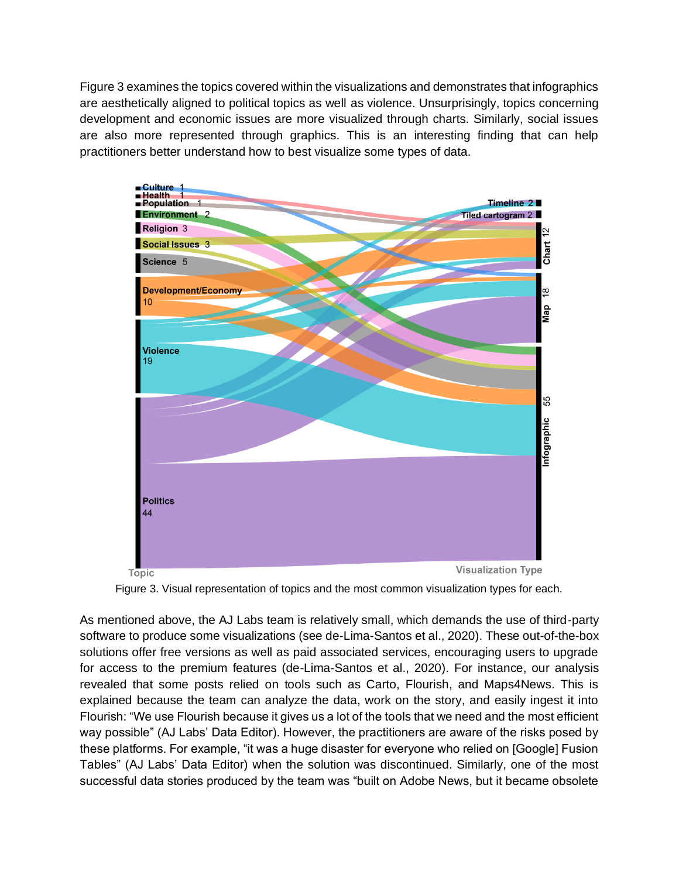Figure 3 examines the topics covered within the visualizations and demonstrates that infographics are aesthetically aligned to political topics as well as violence. Unsurprisingly, topics concerning development and economic issues are more visualized through charts. Similarly, social issues are also more represented through graphics. This is an interesting finding that can help practitioners better understand how to best visualize some types of data.



Figure 3. Visual representation of topics and the most common visualization types for each.

As mentioned above, the AJ Labs team is relatively small, which demands the use of third-party software to produce some visualizations (see de-Lima-Santos et al., 2020). These out-of-the-box solutions offer free versions as well as paid associated services, encouraging users to upgrade for access to the premium features (de-Lima-Santos et al., 2020). For instance, our analysis revealed that some posts relied on tools such as Carto, Flourish, and Maps4News. This is explained because the team can analyze the data, work on the story, and easily ingest it into Flourish: "We use Flourish because it gives us a lot of the tools that we need and the most efficient way possible" (AJ Labs' Data Editor). However, the practitioners are aware of the risks posed by these platforms. For example, "it was a huge disaster for everyone who relied on [Google] Fusion Tables" (AJ Labs' Data Editor) when the solution was discontinued. Similarly, one of the most successful data stories produced by the team was "built on Adobe News, but it became obsolete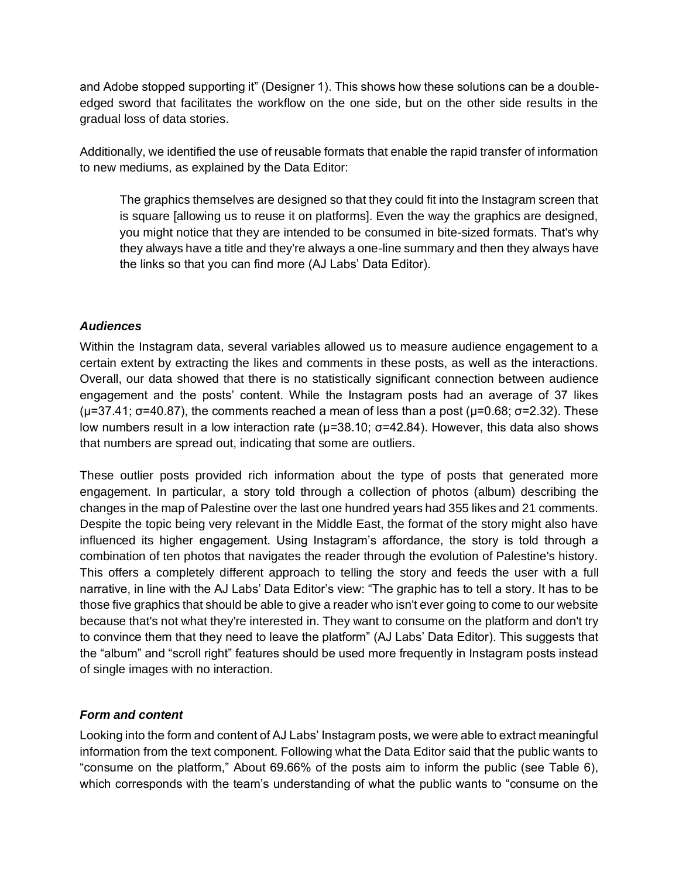and Adobe stopped supporting it" (Designer 1). This shows how these solutions can be a doubleedged sword that facilitates the workflow on the one side, but on the other side results in the gradual loss of data stories.

Additionally, we identified the use of reusable formats that enable the rapid transfer of information to new mediums, as explained by the Data Editor:

The graphics themselves are designed so that they could fit into the Instagram screen that is square [allowing us to reuse it on platforms]. Even the way the graphics are designed, you might notice that they are intended to be consumed in bite-sized formats. That's why they always have a title and they're always a one-line summary and then they always have the links so that you can find more (AJ Labs' Data Editor).

# *Audiences*

Within the Instagram data, several variables allowed us to measure audience engagement to a certain extent by extracting the likes and comments in these posts, as well as the interactions. Overall, our data showed that there is no statistically significant connection between audience engagement and the posts' content. While the Instagram posts had an average of 37 likes ( $\mu$ =37.41; σ=40.87), the comments reached a mean of less than a post ( $\mu$ =0.68; σ=2.32). These low numbers result in a low interaction rate ( $\mu$ =38.10; σ=42.84). However, this data also shows that numbers are spread out, indicating that some are outliers.

These outlier posts provided rich information about the type of posts that generated more engagement. In particular, a story told through a collection of photos (album) describing the changes in the map of Palestine over the last one hundred years had 355 likes and 21 comments. Despite the topic being very relevant in the Middle East, the format of the story might also have influenced its higher engagement. Using Instagram's affordance, the story is told through a combination of ten photos that navigates the reader through the evolution of Palestine's history. This offers a completely different approach to telling the story and feeds the user with a full narrative, in line with the AJ Labs' Data Editor's view: "The graphic has to tell a story. It has to be those five graphics that should be able to give a reader who isn't ever going to come to our website because that's not what they're interested in. They want to consume on the platform and don't try to convince them that they need to leave the platform" (AJ Labs' Data Editor). This suggests that the "album" and "scroll right" features should be used more frequently in Instagram posts instead of single images with no interaction.

# *Form and content*

Looking into the form and content of AJ Labs' Instagram posts, we were able to extract meaningful information from the text component. Following what the Data Editor said that the public wants to "consume on the platform," About 69.66% of the posts aim to inform the public (see Table 6), which corresponds with the team's understanding of what the public wants to "consume on the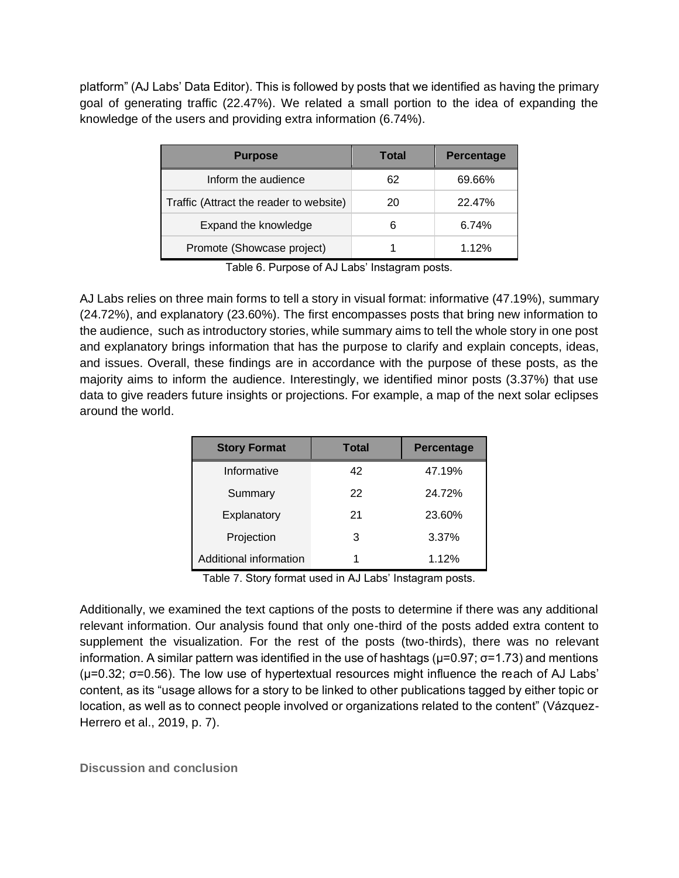platform" (AJ Labs' Data Editor). This is followed by posts that we identified as having the primary goal of generating traffic (22.47%). We related a small portion to the idea of expanding the knowledge of the users and providing extra information (6.74%).

| <b>Purpose</b>                          | Total | <b>Percentage</b> |
|-----------------------------------------|-------|-------------------|
| Inform the audience                     | 62    | 69.66%            |
| Traffic (Attract the reader to website) | 20    | 22.47%            |
| Expand the knowledge                    | 6     | 6.74%             |
| Promote (Showcase project)              |       | 1.12%             |

Table 6. Purpose of AJ Labs' Instagram posts.

AJ Labs relies on three main forms to tell a story in visual format: informative (47.19%), summary (24.72%), and explanatory (23.60%). The first encompasses posts that bring new information to the audience, such as introductory stories, while summary aims to tell the whole story in one post and explanatory brings information that has the purpose to clarify and explain concepts, ideas, and issues. Overall, these findings are in accordance with the purpose of these posts, as the majority aims to inform the audience. Interestingly, we identified minor posts (3.37%) that use data to give readers future insights or projections. For example, a map of the next solar eclipses around the world.

| <b>Story Format</b>    | <b>Total</b> | <b>Percentage</b> |
|------------------------|--------------|-------------------|
| Informative            | 42           | 47.19%            |
| Summary                | 22           | 24.72%            |
| Explanatory            | 21           | 23.60%            |
| Projection             | 3            | 3.37%             |
| Additional information |              | 1.12%             |

Table 7. Story format used in AJ Labs' Instagram posts.

Additionally, we examined the text captions of the posts to determine if there was any additional relevant information. Our analysis found that only one-third of the posts added extra content to supplement the visualization. For the rest of the posts (two-thirds), there was no relevant information. A similar pattern was identified in the use of hashtags ( $\mu$ =0.97;  $\sigma$ =1.73) and mentions ( $\mu$ =0.32;  $\sigma$ =0.56). The low use of hypertextual resources might influence the reach of AJ Labs' content, as its "usage allows for a story to be linked to other publications tagged by either topic or location, as well as to connect people involved or organizations related to the content" (Vázquez-Herrero et al., 2019, p. 7).

**Discussion and conclusion**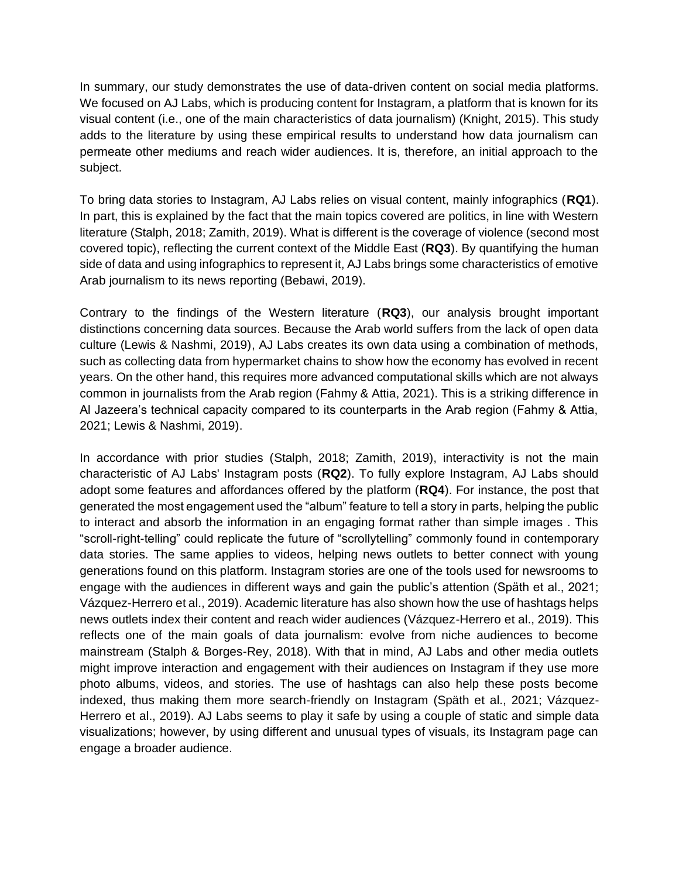In summary, our study demonstrates the use of data-driven content on social media platforms. We focused on AJ Labs, which is producing content for Instagram, a platform that is known for its visual content (i.e., one of the main characteristics of data journalism) (Knight, 2015). This study adds to the literature by using these empirical results to understand how data journalism can permeate other mediums and reach wider audiences. It is, therefore, an initial approach to the subject.

To bring data stories to Instagram, AJ Labs relies on visual content, mainly infographics (**RQ1**). In part, this is explained by the fact that the main topics covered are politics, in line with Western literature (Stalph, 2018; Zamith, 2019). What is different is the coverage of violence (second most covered topic), reflecting the current context of the Middle East (**RQ3**). By quantifying the human side of data and using infographics to represent it, AJ Labs brings some characteristics of emotive Arab journalism to its news reporting (Bebawi, 2019).

Contrary to the findings of the Western literature (**RQ3**), our analysis brought important distinctions concerning data sources. Because the Arab world suffers from the lack of open data culture (Lewis & Nashmi, 2019), AJ Labs creates its own data using a combination of methods, such as collecting data from hypermarket chains to show how the economy has evolved in recent years. On the other hand, this requires more advanced computational skills which are not always common in journalists from the Arab region (Fahmy & Attia, 2021). This is a striking difference in Al Jazeera's technical capacity compared to its counterparts in the Arab region (Fahmy & Attia, 2021; Lewis & Nashmi, 2019).

In accordance with prior studies (Stalph, 2018; Zamith, 2019), interactivity is not the main characteristic of AJ Labs' Instagram posts (**RQ2**). To fully explore Instagram, AJ Labs should adopt some features and affordances offered by the platform (**RQ4**). For instance, the post that generated the most engagement used the "album" feature to tell a story in parts, helping the public to interact and absorb the information in an engaging format rather than simple images . This "scroll-right-telling" could replicate the future of "scrollytelling" commonly found in contemporary data stories. The same applies to videos, helping news outlets to better connect with young generations found on this platform. Instagram stories are one of the tools used for newsrooms to engage with the audiences in different ways and gain the public's attention (Späth et al., 2021; Vázquez-Herrero et al., 2019). Academic literature has also shown how the use of hashtags helps news outlets index their content and reach wider audiences (Vázquez-Herrero et al., 2019). This reflects one of the main goals of data journalism: evolve from niche audiences to become mainstream (Stalph & Borges-Rey, 2018). With that in mind, AJ Labs and other media outlets might improve interaction and engagement with their audiences on Instagram if they use more photo albums, videos, and stories. The use of hashtags can also help these posts become indexed, thus making them more search-friendly on Instagram (Späth et al., 2021; Vázquez-Herrero et al., 2019). AJ Labs seems to play it safe by using a couple of static and simple data visualizations; however, by using different and unusual types of visuals, its Instagram page can engage a broader audience.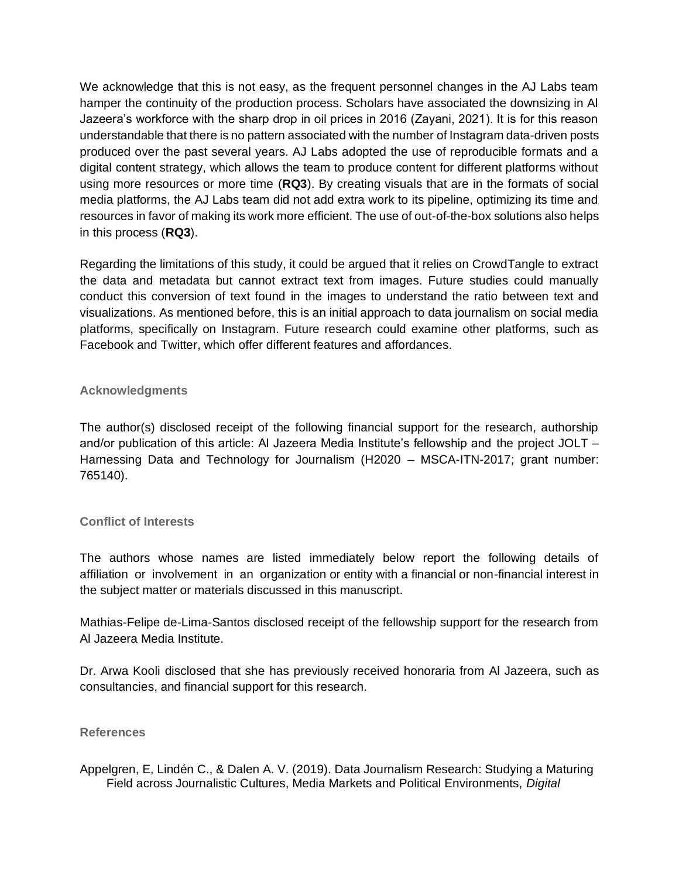We acknowledge that this is not easy, as the frequent personnel changes in the AJ Labs team hamper the continuity of the production process. Scholars have associated the downsizing in Al Jazeera's workforce with the sharp drop in oil prices in 2016 (Zayani, 2021). It is for this reason understandable that there is no pattern associated with the number of Instagram data-driven posts produced over the past several years. AJ Labs adopted the use of reproducible formats and a digital content strategy, which allows the team to produce content for different platforms without using more resources or more time (**RQ3**). By creating visuals that are in the formats of social media platforms, the AJ Labs team did not add extra work to its pipeline, optimizing its time and resources in favor of making its work more efficient. The use of out-of-the-box solutions also helps in this process (**RQ3**).

Regarding the limitations of this study, it could be argued that it relies on CrowdTangle to extract the data and metadata but cannot extract text from images. Future studies could manually conduct this conversion of text found in the images to understand the ratio between text and visualizations. As mentioned before, this is an initial approach to data journalism on social media platforms, specifically on Instagram. Future research could examine other platforms, such as Facebook and Twitter, which offer different features and affordances.

#### **Acknowledgments**

The author(s) disclosed receipt of the following financial support for the research, authorship and/or publication of this article: Al Jazeera Media Institute's fellowship and the project JOLT – Harnessing Data and Technology for Journalism (H2020 – MSCA-ITN-2017; grant number: 765140).

#### **Conflict of Interests**

The authors whose names are listed immediately below report the following details of affiliation or involvement in an organization or entity with a financial or non-financial interest in the subject matter or materials discussed in this manuscript.

Mathias-Felipe de-Lima-Santos disclosed receipt of the fellowship support for the research from Al Jazeera Media Institute.

Dr. Arwa Kooli disclosed that she has previously received honoraria from Al Jazeera, such as consultancies, and financial support for this research.

#### **References**

Appelgren, E, Lindén C., & Dalen A. V. (2019). Data Journalism Research: Studying a Maturing Field across Journalistic Cultures, Media Markets and Political Environments, *Digital*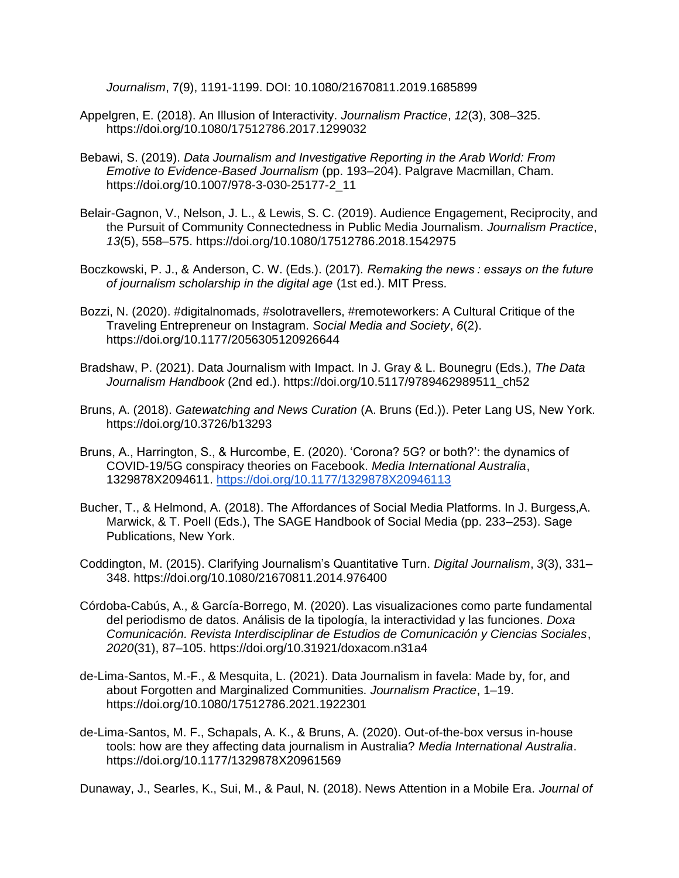*Journalism*, 7(9), 1191-1199. DOI: 10.1080/21670811.2019.1685899

- Appelgren, E. (2018). An Illusion of Interactivity. *Journalism Practice*, *12*(3), 308–325. https://doi.org/10.1080/17512786.2017.1299032
- Bebawi, S. (2019). *Data Journalism and Investigative Reporting in the Arab World: From Emotive to Evidence-Based Journalism* (pp. 193–204). Palgrave Macmillan, Cham. https://doi.org/10.1007/978-3-030-25177-2\_11
- Belair-Gagnon, V., Nelson, J. L., & Lewis, S. C. (2019). Audience Engagement, Reciprocity, and the Pursuit of Community Connectedness in Public Media Journalism. *Journalism Practice*, *13*(5), 558–575. https://doi.org/10.1080/17512786.2018.1542975
- Boczkowski, P. J., & Anderson, C. W. (Eds.). (2017). *Remaking the news : essays on the future of journalism scholarship in the digital age* (1st ed.). MIT Press.
- Bozzi, N. (2020). #digitalnomads, #solotravellers, #remoteworkers: A Cultural Critique of the Traveling Entrepreneur on Instagram. *Social Media and Society*, *6*(2). https://doi.org/10.1177/2056305120926644
- Bradshaw, P. (2021). Data Journalism with Impact. In J. Gray & L. Bounegru (Eds.), *The Data Journalism Handbook* (2nd ed.). https://doi.org/10.5117/9789462989511\_ch52
- Bruns, A. (2018). *Gatewatching and News Curation* (A. Bruns (Ed.)). Peter Lang US, New York. https://doi.org/10.3726/b13293
- Bruns, A., Harrington, S., & Hurcombe, E. (2020). 'Corona? 5G? or both?': the dynamics of COVID-19/5G conspiracy theories on Facebook. *Media International Australia*, 1329878X2094611.<https://doi.org/10.1177/1329878X20946113>
- Bucher, T., & Helmond, A. (2018). The Affordances of Social Media Platforms. In J. Burgess,A. Marwick, & T. Poell (Eds.), The SAGE Handbook of Social Media (pp. 233–253). Sage Publications, New York.
- Coddington, M. (2015). Clarifying Journalism's Quantitative Turn. *Digital Journalism*, *3*(3), 331– 348. https://doi.org/10.1080/21670811.2014.976400
- Córdoba-Cabús, A., & García-Borrego, M. (2020). Las visualizaciones como parte fundamental del periodismo de datos. Análisis de la tipología, la interactividad y las funciones. *Doxa Comunicación. Revista Interdisciplinar de Estudios de Comunicación y Ciencias Sociales*, *2020*(31), 87–105. https://doi.org/10.31921/doxacom.n31a4
- de-Lima-Santos, M.-F., & Mesquita, L. (2021). Data Journalism in favela: Made by, for, and about Forgotten and Marginalized Communities. *Journalism Practice*, 1–19. https://doi.org/10.1080/17512786.2021.1922301
- de-Lima-Santos, M. F., Schapals, A. K., & Bruns, A. (2020). Out-of-the-box versus in-house tools: how are they affecting data journalism in Australia? *Media International Australia*. https://doi.org/10.1177/1329878X20961569

Dunaway, J., Searles, K., Sui, M., & Paul, N. (2018). News Attention in a Mobile Era. *Journal of*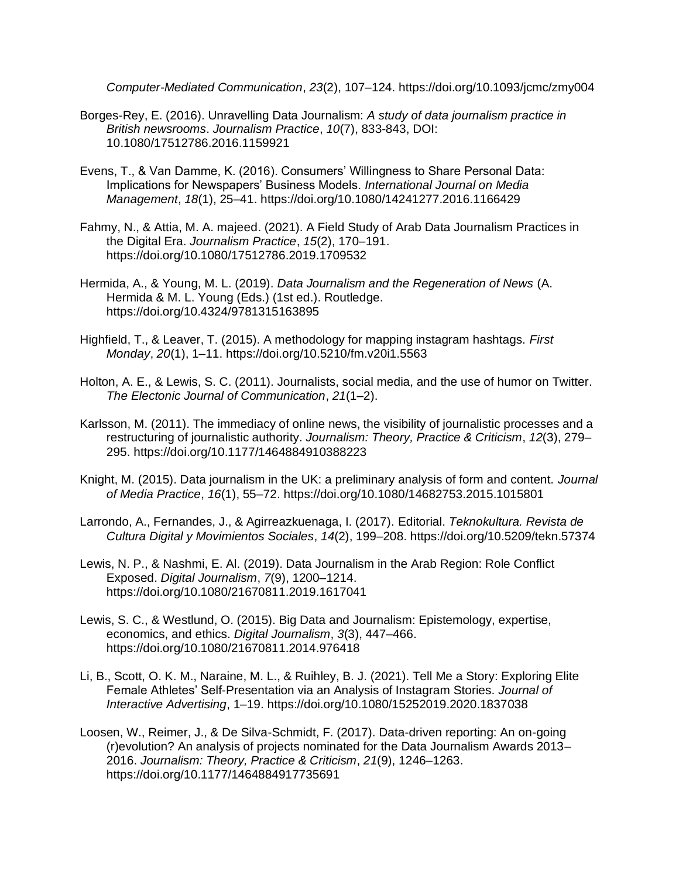*Computer-Mediated Communication*, *23*(2), 107–124. https://doi.org/10.1093/jcmc/zmy004

- Borges-Rey, E. (2016). Unravelling Data Journalism: *A study of data journalism practice in British newsrooms*. *Journalism Practice*, *10*(7), 833-843, DOI: [10.1080/17512786.2016.1159921](https://doi.org/10.1080/17512786.2016.1159921)
- Evens, T., & Van Damme, K. (2016). Consumers' Willingness to Share Personal Data: Implications for Newspapers' Business Models. *International Journal on Media Management*, *18*(1), 25–41. https://doi.org/10.1080/14241277.2016.1166429
- Fahmy, N., & Attia, M. A. majeed. (2021). A Field Study of Arab Data Journalism Practices in the Digital Era. *Journalism Practice*, *15*(2), 170–191. https://doi.org/10.1080/17512786.2019.1709532
- Hermida, A., & Young, M. L. (2019). *Data Journalism and the Regeneration of News* (A. Hermida & M. L. Young (Eds.) (1st ed.). Routledge. https://doi.org/10.4324/9781315163895
- Highfield, T., & Leaver, T. (2015). A methodology for mapping instagram hashtags. *First Monday*, *20*(1), 1–11. https://doi.org/10.5210/fm.v20i1.5563
- Holton, A. E., & Lewis, S. C. (2011). Journalists, social media, and the use of humor on Twitter. *The Electonic Journal of Communication*, *21*(1–2).
- Karlsson, M. (2011). The immediacy of online news, the visibility of journalistic processes and a restructuring of journalistic authority. *Journalism: Theory, Practice & Criticism*, *12*(3), 279– 295. https://doi.org/10.1177/1464884910388223
- Knight, M. (2015). Data journalism in the UK: a preliminary analysis of form and content. *Journal of Media Practice*, *16*(1), 55–72. https://doi.org/10.1080/14682753.2015.1015801
- Larrondo, A., Fernandes, J., & Agirreazkuenaga, I. (2017). Editorial. *Teknokultura. Revista de Cultura Digital y Movimientos Sociales*, *14*(2), 199–208. https://doi.org/10.5209/tekn.57374
- Lewis, N. P., & Nashmi, E. Al. (2019). Data Journalism in the Arab Region: Role Conflict Exposed. *Digital Journalism*, *7*(9), 1200–1214. https://doi.org/10.1080/21670811.2019.1617041
- Lewis, S. C., & Westlund, O. (2015). Big Data and Journalism: Epistemology, expertise, economics, and ethics. *Digital Journalism*, *3*(3), 447–466. https://doi.org/10.1080/21670811.2014.976418
- Li, B., Scott, O. K. M., Naraine, M. L., & Ruihley, B. J. (2021). Tell Me a Story: Exploring Elite Female Athletes' Self-Presentation via an Analysis of Instagram Stories. *Journal of Interactive Advertising*, 1–19. https://doi.org/10.1080/15252019.2020.1837038
- Loosen, W., Reimer, J., & De Silva-Schmidt, F. (2017). Data-driven reporting: An on-going (r)evolution? An analysis of projects nominated for the Data Journalism Awards 2013– 2016. *Journalism: Theory, Practice & Criticism*, *21*(9), 1246–1263. https://doi.org/10.1177/1464884917735691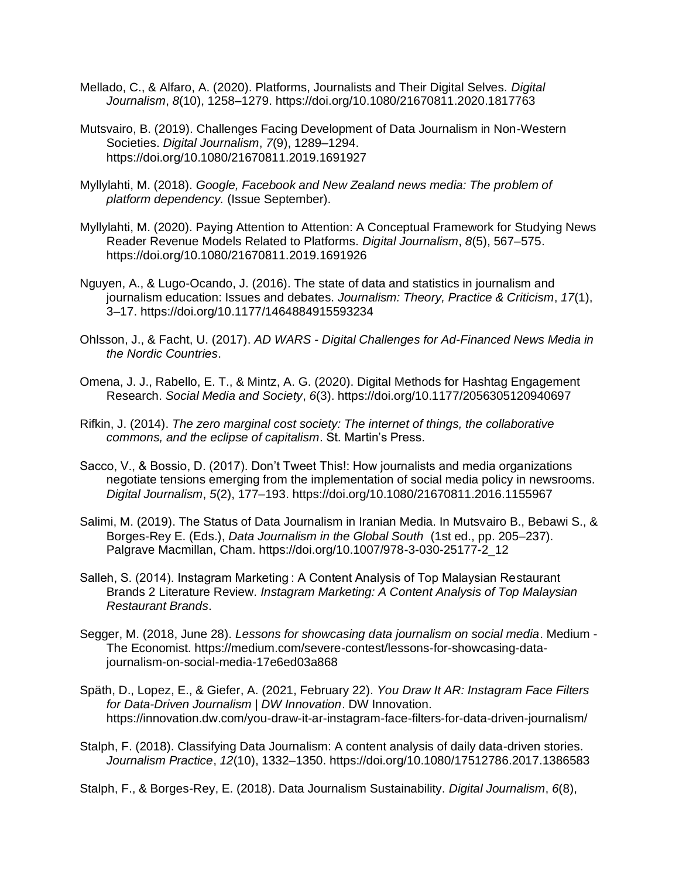- Mellado, C., & Alfaro, A. (2020). Platforms, Journalists and Their Digital Selves. *Digital Journalism*, *8*(10), 1258–1279. https://doi.org/10.1080/21670811.2020.1817763
- Mutsvairo, B. (2019). Challenges Facing Development of Data Journalism in Non-Western Societies. *Digital Journalism*, *7*(9), 1289–1294. https://doi.org/10.1080/21670811.2019.1691927
- Myllylahti, M. (2018). *Google, Facebook and New Zealand news media: The problem of platform dependency.* (Issue September).
- Myllylahti, M. (2020). Paying Attention to Attention: A Conceptual Framework for Studying News Reader Revenue Models Related to Platforms. *Digital Journalism*, *8*(5), 567–575. https://doi.org/10.1080/21670811.2019.1691926
- Nguyen, A., & Lugo-Ocando, J. (2016). The state of data and statistics in journalism and journalism education: Issues and debates. *Journalism: Theory, Practice & Criticism*, *17*(1), 3–17. https://doi.org/10.1177/1464884915593234
- Ohlsson, J., & Facht, U. (2017). *AD WARS - Digital Challenges for Ad-Financed News Media in the Nordic Countries*.
- Omena, J. J., Rabello, E. T., & Mintz, A. G. (2020). Digital Methods for Hashtag Engagement Research. *Social Media and Society*, *6*(3). https://doi.org/10.1177/2056305120940697
- Rifkin, J. (2014). *The zero marginal cost society: The internet of things, the collaborative commons, and the eclipse of capitalism*. St. Martin's Press.
- Sacco, V., & Bossio, D. (2017). Don't Tweet This!: How journalists and media organizations negotiate tensions emerging from the implementation of social media policy in newsrooms. *Digital Journalism*, *5*(2), 177–193. https://doi.org/10.1080/21670811.2016.1155967
- Salimi, M. (2019). The Status of Data Journalism in Iranian Media. In Mutsvairo B., Bebawi S., & Borges-Rey E. (Eds.), *Data Journalism in the Global South* (1st ed., pp. 205–237). Palgrave Macmillan, Cham. https://doi.org/10.1007/978-3-030-25177-2\_12
- Salleh, S. (2014). Instagram Marketing : A Content Analysis of Top Malaysian Restaurant Brands 2 Literature Review. *Instagram Marketing: A Content Analysis of Top Malaysian Restaurant Brands*.
- Segger, M. (2018, June 28). *Lessons for showcasing data journalism on social media*. Medium The Economist. https://medium.com/severe-contest/lessons-for-showcasing-datajournalism-on-social-media-17e6ed03a868
- Späth, D., Lopez, E., & Giefer, A. (2021, February 22). *You Draw It AR: Instagram Face Filters for Data-Driven Journalism | DW Innovation*. DW Innovation. https://innovation.dw.com/you-draw-it-ar-instagram-face-filters-for-data-driven-journalism/
- Stalph, F. (2018). Classifying Data Journalism: A content analysis of daily data-driven stories. *Journalism Practice*, *12*(10), 1332–1350. https://doi.org/10.1080/17512786.2017.1386583
- Stalph, F., & Borges-Rey, E. (2018). Data Journalism Sustainability. *Digital Journalism*, *6*(8),